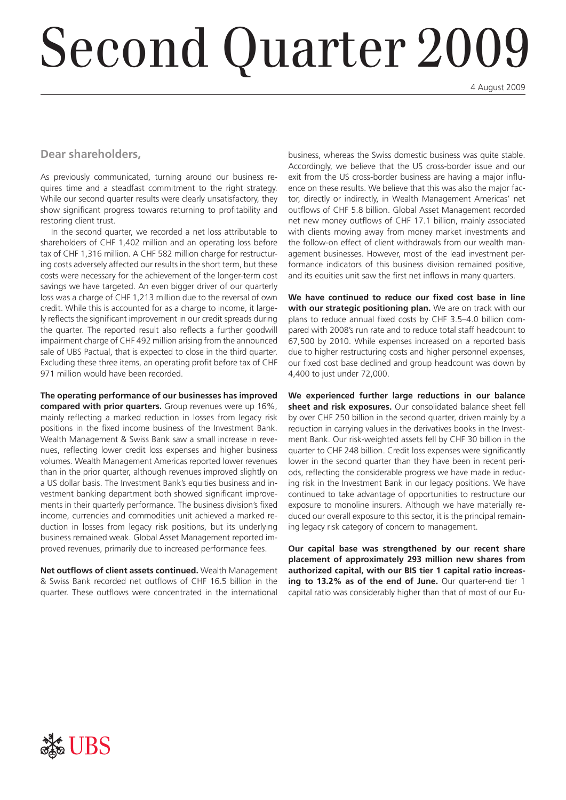# Second Quarter 2009

4 August 2009

#### **Dear shareholders,**

As previously communicated, turning around our business requires time and a steadfast commitment to the right strategy. While our second quarter results were clearly unsatisfactory, they show significant progress towards returning to profitability and restoring client trust.

In the second quarter, we recorded a net loss attributable to shareholders of CHF 1,402 million and an operating loss before tax of CHF 1,316 million. A CHF 582 million charge for restructuring costs adversely affected our results in the short term, but these costs were necessary for the achievement of the longer-term cost savings we have targeted. An even bigger driver of our quarterly loss was a charge of CHF 1,213 million due to the reversal of own credit. While this is accounted for as a charge to income, it largely reflects the significant improvement in our credit spreads during the quarter. The reported result also reflects a further goodwill impairment charge of CHF 492 million arising from the announced sale of UBS Pactual, that is expected to close in the third quarter. Excluding these three items, an operating profit before tax of CHF 971 million would have been recorded.

**The operating performance of our businesses has improved compared with prior quarters.** Group revenues were up 16%, mainly reflecting a marked reduction in losses from legacy risk positions in the fixed income business of the Investment Bank. Wealth Management & Swiss Bank saw a small increase in revenues, reflecting lower credit loss expenses and higher business volumes. Wealth Management Americas reported lower revenues than in the prior quarter, although revenues improved slightly on a US dollar basis. The Investment Bank's equities business and investment banking department both showed significant improvements in their quarterly performance. The business division's fixed income, currencies and commodities unit achieved a marked reduction in losses from legacy risk positions, but its underlying business remained weak. Global Asset Management reported improved revenues, primarily due to increased performance fees.

**Net outflows of client assets continued.** Wealth Management & Swiss Bank recorded net outflows of CHF 16.5 billion in the quarter. These outflows were concentrated in the international

business, whereas the Swiss domestic business was quite stable. Accordingly, we believe that the US cross-border issue and our exit from the US cross-border business are having a major influence on these results. We believe that this was also the major factor, directly or indirectly, in Wealth Management Americas' net outflows of CHF 5.8 billion. Global Asset Management recorded net new money outflows of CHF 17.1 billion, mainly associated with clients moving away from money market investments and the follow-on effect of client withdrawals from our wealth management businesses. However, most of the lead investment performance indicators of this business division remained positive, and its equities unit saw the first net inflows in many quarters.

**We have continued to reduce our fixed cost base in line with our strategic positioning plan.** We are on track with our plans to reduce annual fixed costs by CHF 3.5–4.0 billion compared with 2008's run rate and to reduce total staff headcount to 67,500 by 2010. While expenses increased on a reported basis due to higher restructuring costs and higher personnel expenses, our fixed cost base declined and group headcount was down by 4,400 to just under 72,000.

**We experienced further large reductions in our balance sheet and risk exposures.** Our consolidated balance sheet fell by over CHF 250 billion in the second quarter, driven mainly by a reduction in carrying values in the derivatives books in the Investment Bank. Our risk-weighted assets fell by CHF 30 billion in the quarter to CHF 248 billion. Credit loss expenses were significantly lower in the second quarter than they have been in recent periods, reflecting the considerable progress we have made in reducing risk in the Investment Bank in our legacy positions. We have continued to take advantage of opportunities to restructure our exposure to monoline insurers. Although we have materially reduced our overall exposure to this sector, it is the principal remaining legacy risk category of concern to management.

**Our capital base was strengthened by our recent share placement of approximately 293 million new shares from authorized capital, with our BIS tier 1 capital ratio increasing to 13.2% as of the end of June.** Our quarter-end tier 1 capital ratio was considerably higher than that of most of our Eu-

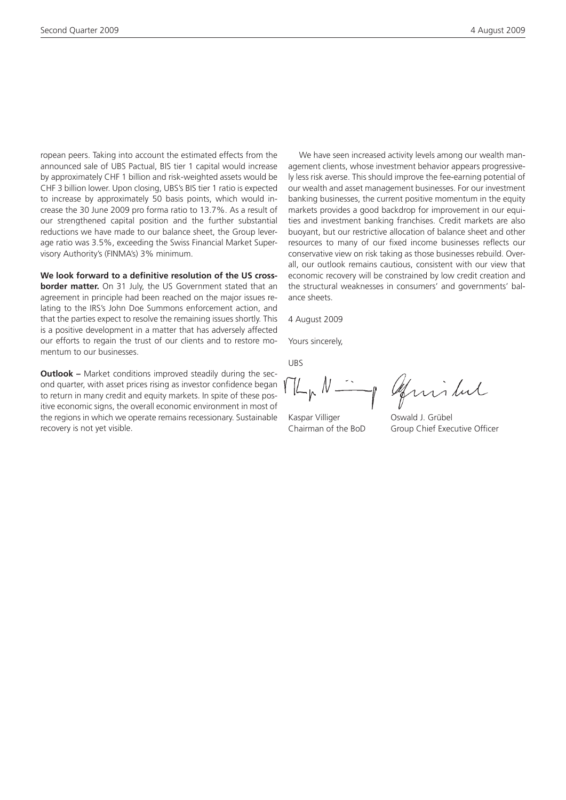ropean peers. Taking into account the estimated effects from the announced sale of UBS Pactual, BIS tier 1 capital would increase by approximately CHF 1 billion and risk-weighted assets would be CHF 3 billion lower. Upon closing, UBS's BIS tier 1 ratio is expected to increase by approximately 50 basis points, which would increase the 30 June 2009 pro forma ratio to 13.7%. As a result of our strengthened capital position and the further substantial reductions we have made to our balance sheet, the Group leverage ratio was 3.5%, exceeding the Swiss Financial Market Supervisory Authority's (FINMA's) 3% minimum.

**We look forward to a definitive resolution of the US cross-**

**border matter.** On 31 July, the US Government stated that an agreement in principle had been reached on the major issues relating to the IRS's John Doe Summons enforcement action, and that the parties expect to resolve the remaining issues shortly. This is a positive development in a matter that has adversely affected our efforts to regain the trust of our clients and to restore momentum to our businesses.

**Outlook –** Market conditions improved steadily during the second quarter, with asset prices rising as investor confidence began to return in many credit and equity markets. In spite of these positive economic signs, the overall economic environment in most of the regions in which we operate remains recessionary. Sustainable recovery is not yet visible.

We have seen increased activity levels among our wealth management clients, whose investment behavior appears progressively less risk averse. This should improve the fee-earning potential of our wealth and asset management businesses. For our investment banking businesses, the current positive momentum in the equity markets provides a good backdrop for improvement in our equities and investment banking franchises. Credit markets are also buoyant, but our restrictive allocation of balance sheet and other resources to many of our fixed income businesses reflects our conservative view on risk taking as those businesses rebuild. Overall, our outlook remains cautious, consistent with our view that economic recovery will be constrained by low credit creation and the structural weaknesses in consumers' and governments' balance sheets.

4 August 2009

Yours sincerely,

UBS

of Guislut

Kaspar Villiger Oswald J. Grübel

Chairman of the BoD Group Chief Executive Officer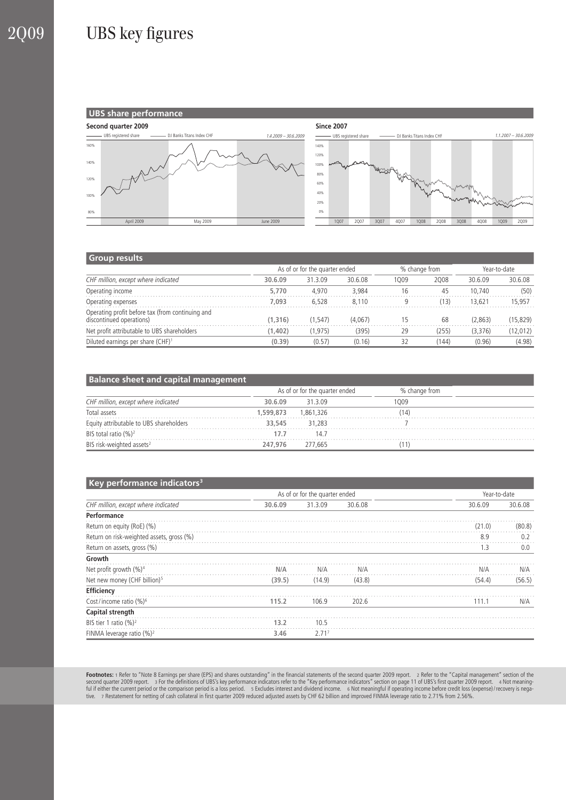## 2Q09 UBS key figures



#### **Group results**

|                                                                              | As of or for the quarter ended |         |         | % change from |       | Year-to-date |           |
|------------------------------------------------------------------------------|--------------------------------|---------|---------|---------------|-------|--------------|-----------|
| CHF million, except where indicated                                          | 30.6.09                        | 31.3.09 | 30.6.08 | 1009          | 2008  | 30.6.09      | 30.6.08   |
| Operating income                                                             | 5,770                          | 4.970   | 3.984   | 16            | 45    | 10.740       | (50)      |
| Operating expenses                                                           | 7.093                          | 6.528   | 8.110   | a             | (13)  | 13.621       | 15.957    |
| Operating profit before tax (from continuing and<br>discontinued operations) | (1.316)                        | (1.547) | (4,067) | ל 1           | 68    | (2.863)      | (15, 829) |
| Net profit attributable to UBS shareholders                                  | 1.402                          | (1.975) | (395)   | 29            | (255) | (3,376)      | (12, 012) |
| Diluted earnings per share (CHF) <sup>1</sup>                                | (0.39)                         | (0.57)  | (0.16)  | 32            | (144) | (0.96)       | (4.98)    |

| <b>Balance sheet and capital management</b> |           |                                |               |  |  |  |  |  |
|---------------------------------------------|-----------|--------------------------------|---------------|--|--|--|--|--|
|                                             |           | As of or for the quarter ended | % change from |  |  |  |  |  |
| CHF million, except where indicated         | 30.6.09   | 31309                          | 1009          |  |  |  |  |  |
| Total assets                                | 1.599.873 | 1.861.326                      | 14            |  |  |  |  |  |
| Equity attributable to UBS shareholders     | 33.545    | 31,283                         |               |  |  |  |  |  |
| BIS total ratio (%) <sup>2</sup>            | 17 7      | 14 7                           |               |  |  |  |  |  |
| BIS risk-weighted assets <sup>2</sup>       | 247.976   | 277.665                        |               |  |  |  |  |  |

#### **Key performance indicators**<sup>3</sup>

| . .                                       |         | As of or for the quarter ended |         |         | Year-to-date |  |
|-------------------------------------------|---------|--------------------------------|---------|---------|--------------|--|
| CHF million, except where indicated       | 30.6.09 | 31.3.09                        | 30.6.08 | 30.6.09 | 30.6.08      |  |
| Performance                               |         |                                |         |         |              |  |
| Return on equity (RoE) (%)                |         |                                |         | (21.0)  | (80.8)       |  |
| Return on risk-weighted assets, gross (%) |         |                                |         | 8.9     | 0.2          |  |
| Return on assets, gross (%)               |         |                                |         | 1.3     | 0.0          |  |
| Growth                                    |         |                                |         |         |              |  |
| Net profit growth $(\%)^4$                | N/A     | N/A                            | N/A     | N/A     | N/A          |  |
| Net new money (CHF billion) <sup>5</sup>  | (39.5)  | (14.9)                         | (43.8)  | (54.4)  | (56.5)       |  |
| Efficiency                                |         |                                |         |         |              |  |
| Cost/income ratio (%) <sup>6</sup>        | 115.2   | 106.9                          | 202.6   | 111.1   | N/A          |  |
| Capital strength                          |         |                                |         |         |              |  |
| BIS tier 1 ratio $(\%)^2$                 | 13.2    | 10.5                           |         |         |              |  |
| FINMA leverage ratio $(\%)^2$             | 3.46    | 2.71 <sup>7</sup>              |         |         |              |  |

**Footnotes:** 1 Refer to "Note 8 Earnings per share (EPS) and shares outstanding" in the financial statements of the second quarter 2009 report. 2 Refer to the "Capital management" section of the "Capital" section of the se